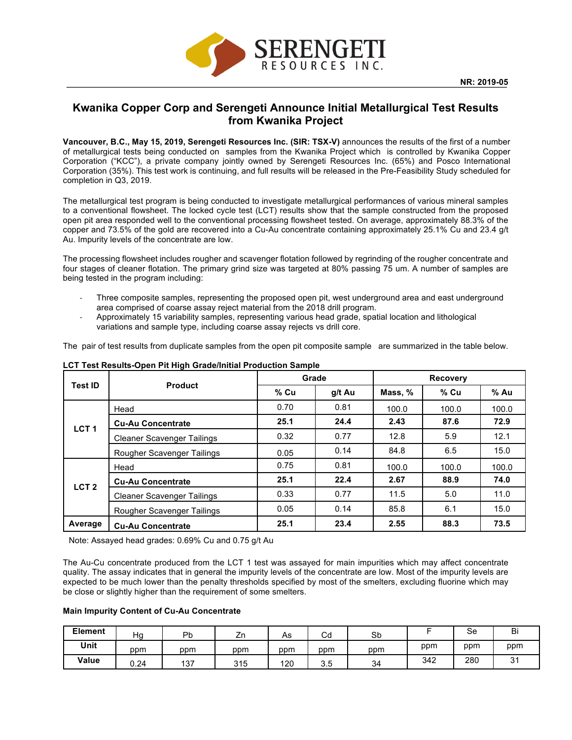

# **Kwanika Copper Corp and Serengeti Announce Initial Metallurgical Test Results from Kwanika Project**

**Vancouver, B.C., May 15, 2019, Serengeti Resources Inc. (SIR: TSX-V)** announces the results of the first of a number of metallurgical tests being conducted on samples from the Kwanika Project which is controlled by Kwanika Copper Corporation ("KCC"), a private company jointly owned by Serengeti Resources Inc. (65%) and Posco International Corporation (35%). This test work is continuing, and full results will be released in the Pre-Feasibility Study scheduled for completion in Q3, 2019.

The metallurgical test program is being conducted to investigate metallurgical performances of various mineral samples to a conventional flowsheet. The locked cycle test (LCT) results show that the sample constructed from the proposed open pit area responded well to the conventional processing flowsheet tested. On average, approximately 88.3% of the copper and 73.5% of the gold are recovered into a Cu-Au concentrate containing approximately 25.1% Cu and 23.4 g/t Au. Impurity levels of the concentrate are low.

The processing flowsheet includes rougher and scavenger flotation followed by regrinding of the rougher concentrate and four stages of cleaner flotation. The primary grind size was targeted at 80% passing 75 um. A number of samples are being tested in the program including:

- Three composite samples, representing the proposed open pit, west underground area and east underground area comprised of coarse assay reject material from the 2018 drill program.
- Approximately 15 variability samples, representing various head grade, spatial location and lithological variations and sample type, including coarse assay rejects vs drill core.

The pair of test results from duplicate samples from the open pit composite sample are summarized in the table below.

| <b>Test ID</b>   | <b>Product</b>                    |      | Grade  | <b>Recovery</b> |        |       |  |
|------------------|-----------------------------------|------|--------|-----------------|--------|-------|--|
|                  |                                   | % Cu | g/t Au | Mass, %         | $%$ Cu | % Au  |  |
| LCT <sub>1</sub> | Head                              | 0.70 | 0.81   | 100.0           | 100.0  | 100.0 |  |
|                  | <b>Cu-Au Concentrate</b>          | 25.1 | 24.4   | 2.43            | 87.6   | 72.9  |  |
|                  | <b>Cleaner Scavenger Tailings</b> | 0.32 | 0.77   | 12.8            | 5.9    | 12.1  |  |
|                  | Rougher Scavenger Tailings        | 0.05 | 0.14   | 84.8            | 6.5    | 15.0  |  |
| LCT <sub>2</sub> | Head                              | 0.75 | 0.81   | 100.0           | 100.0  | 100.0 |  |
|                  | <b>Cu-Au Concentrate</b>          | 25.1 | 22.4   | 2.67            | 88.9   | 74.0  |  |
|                  | <b>Cleaner Scavenger Tailings</b> | 0.33 | 0.77   | 11.5            | 5.0    | 11.0  |  |
|                  | Rougher Scavenger Tailings        | 0.05 | 0.14   | 85.8            | 6.1    | 15.0  |  |
| Average          | <b>Cu-Au Concentrate</b>          | 25.1 | 23.4   | 2.55            | 88.3   | 73.5  |  |

**LCT Test Results-Open Pit High Grade/Initial Production Sample**

Note: Assayed head grades: 0.69% Cu and 0.75 g/t Au

The Au-Cu concentrate produced from the LCT 1 test was assayed for main impurities which may affect concentrate quality. The assay indicates that in general the impurity levels of the concentrate are low. Most of the impurity levels are expected to be much lower than the penalty thresholds specified by most of the smelters, excluding fluorine which may be close or slightly higher than the requirement of some smelters.

## **Main Impurity Content of Cu-Au Concentrate**

| <b>Element</b> | Ha   | Pb  | ∠⊔  | As  | Cd       | Sb  |     | Se  | Bi          |
|----------------|------|-----|-----|-----|----------|-----|-----|-----|-------------|
| Unit           | ppm  | ppm | ppm | ppm | ppm      | ppm | ppm | ppm | ppm         |
| Value          | 0.24 | 137 | 315 | 120 | ⌒<br>ა.ა | 34  | 342 | 280 | $\sim$<br>ັ |